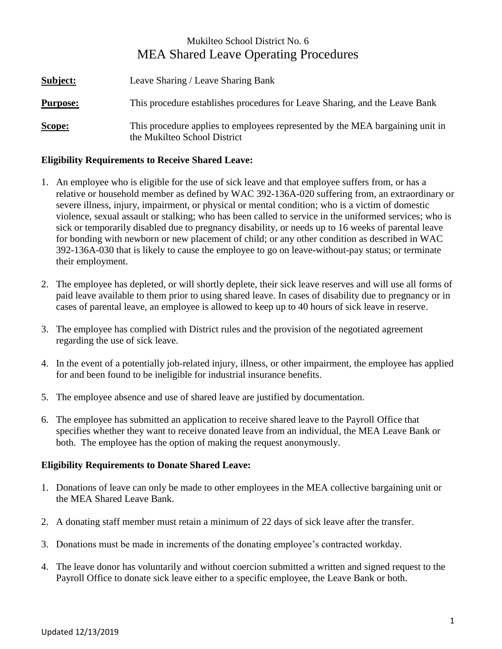# Mukilteo School District No. 6 MEA Shared Leave Operating Procedures

| <b>Subject:</b> | Leave Sharing / Leave Sharing Bank                                                                            |
|-----------------|---------------------------------------------------------------------------------------------------------------|
| <b>Purpose:</b> | This procedure establishes procedures for Leave Sharing, and the Leave Bank                                   |
| Scope:          | This procedure applies to employees represented by the MEA bargaining unit in<br>the Mukilteo School District |

## **Eligibility Requirements to Receive Shared Leave:**

- 1. An employee who is eligible for the use of sick leave and that employee suffers from, or has a relative or household member as defined by WAC 392-136A-020 suffering from, an extraordinary or severe illness, injury, impairment, or physical or mental condition; who is a victim of domestic violence, sexual assault or stalking; who has been called to service in the uniformed services; who is sick or temporarily disabled due to pregnancy disability, or needs up to 16 weeks of parental leave for bonding with newborn or new placement of child; or any other condition as described in WAC 392-136A-030 that is likely to cause the employee to go on leave-without-pay status; or terminate their employment.
- 2. The employee has depleted, or will shortly deplete, their sick leave reserves and will use all forms of paid leave available to them prior to using shared leave. In cases of disability due to pregnancy or in cases of parental leave, an employee is allowed to keep up to 40 hours of sick leave in reserve.
- 3. The employee has complied with District rules and the provision of the negotiated agreement regarding the use of sick leave.
- 4. In the event of a potentially job-related injury, illness, or other impairment, the employee has applied for and been found to be ineligible for industrial insurance benefits.
- 5. The employee absence and use of shared leave are justified by documentation.
- 6. The employee has submitted an application to receive shared leave to the Payroll Office that specifies whether they want to receive donated leave from an individual, the MEA Leave Bank or both. The employee has the option of making the request anonymously.

#### **Eligibility Requirements to Donate Shared Leave:**

- 1. Donations of leave can only be made to other employees in the MEA collective bargaining unit or the MEA Shared Leave Bank.
- 2. A donating staff member must retain a minimum of 22 days of sick leave after the transfer.
- 3. Donations must be made in increments of the donating employee's contracted workday.
- 4. The leave donor has voluntarily and without coercion submitted a written and signed request to the Payroll Office to donate sick leave either to a specific employee, the Leave Bank or both.